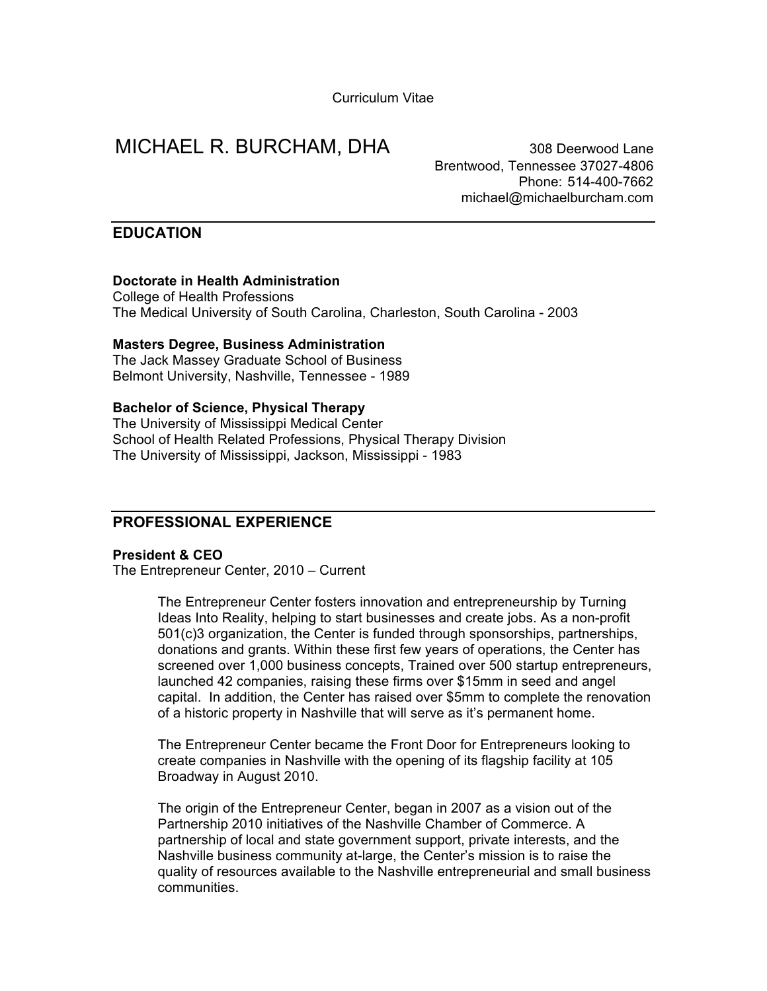Curriculum Vitae

# MICHAEL R. BURCHAM, DHA **1988** Deerwood Lane

Brentwood, Tennessee 37027-4806 Phone: 514-400-7662 michael@michaelburcham.com

## **EDUCATION**

### **Doctorate in Health Administration**

College of Health Professions The Medical University of South Carolina, Charleston, South Carolina - 2003

### **Masters Degree, Business Administration**

The Jack Massey Graduate School of Business Belmont University, Nashville, Tennessee - 1989

#### **Bachelor of Science, Physical Therapy**

The University of Mississippi Medical Center School of Health Related Professions, Physical Therapy Division The University of Mississippi, Jackson, Mississippi - 1983

# **PROFESSIONAL EXPERIENCE**

#### **President & CEO**

The Entrepreneur Center, 2010 – Current

The Entrepreneur Center fosters innovation and entrepreneurship by Turning Ideas Into Reality, helping to start businesses and create jobs. As a non-profit 501(c)3 organization, the Center is funded through sponsorships, partnerships, donations and grants. Within these first few years of operations, the Center has screened over 1,000 business concepts, Trained over 500 startup entrepreneurs, launched 42 companies, raising these firms over \$15mm in seed and angel capital. In addition, the Center has raised over \$5mm to complete the renovation of a historic property in Nashville that will serve as it's permanent home.

The Entrepreneur Center became the Front Door for Entrepreneurs looking to create companies in Nashville with the opening of its flagship facility at 105 Broadway in August 2010.

The origin of the Entrepreneur Center, began in 2007 as a vision out of the Partnership 2010 initiatives of the Nashville Chamber of Commerce. A partnership of local and state government support, private interests, and the Nashville business community at-large, the Center's mission is to raise the quality of resources available to the Nashville entrepreneurial and small business communities.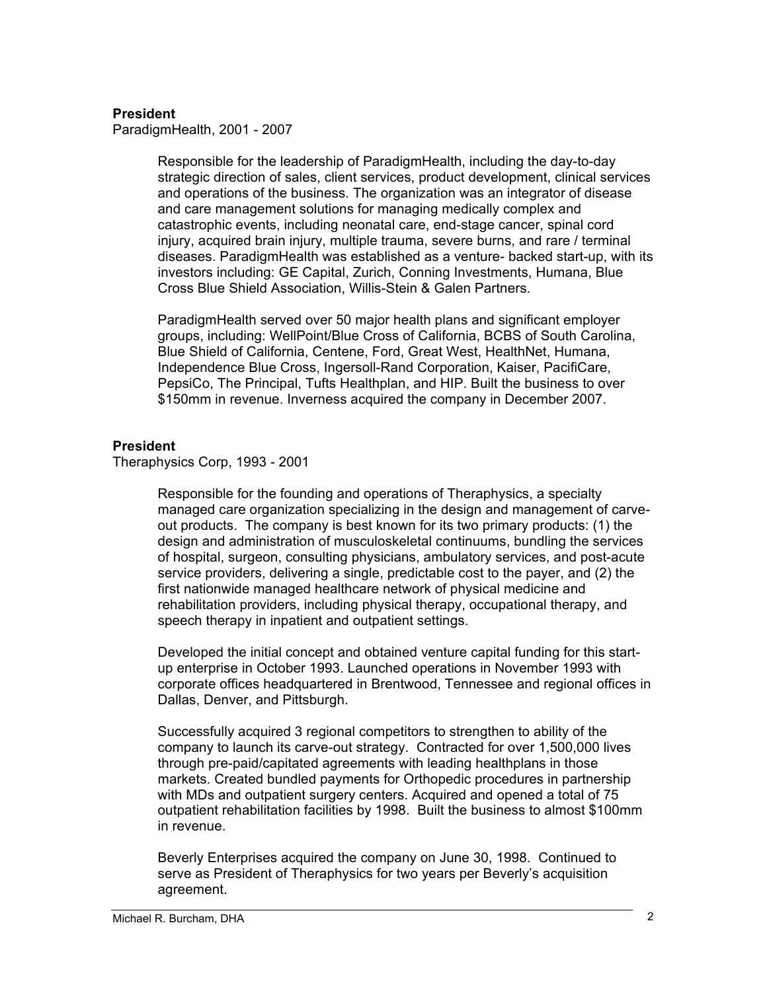## **President**

ParadigmHealth, 2001 - 2007

Responsible for the leadership of ParadigmHealth, including the day-to-day strategic direction of sales, client services, product development, clinical services and operations of the business. The organization was an integrator of disease and care management solutions for managing medically complex and catastrophic events, including neonatal care, end-stage cancer, spinal cord injury, acquired brain injury, multiple trauma, severe burns, and rare / terminal diseases. ParadigmHealth was established as a venture- backed start-up, with its investors including: GE Capital, Zurich, Conning Investments, Humana, Blue Cross Blue Shield Association, Willis-Stein & Galen Partners.

ParadigmHealth served over 50 major health plans and significant employer groups, including: WellPoint/Blue Cross of California, BCBS of South Carolina, Blue Shield of California, Centene, Ford, Great West, HealthNet, Humana, Independence Blue Cross, Ingersoll-Rand Corporation, Kaiser, PacifiCare, PepsiCo, The Principal, Tufts Healthplan, and HIP. Built the business to over \$150mm in revenue. Inverness acquired the company in December 2007.

## **President**

Theraphysics Corp, 1993 - 2001

Responsible for the founding and operations of Theraphysics, a specialty managed care organization specializing in the design and management of carveout products. The company is best known for its two primary products: (1) the design and administration of musculoskeletal continuums, bundling the services of hospital, surgeon, consulting physicians, ambulatory services, and post-acute service providers, delivering a single, predictable cost to the payer, and (2) the first nationwide managed healthcare network of physical medicine and rehabilitation providers, including physical therapy, occupational therapy, and speech therapy in inpatient and outpatient settings.

Developed the initial concept and obtained venture capital funding for this startup enterprise in October 1993. Launched operations in November 1993 with corporate offices headquartered in Brentwood, Tennessee and regional offices in Dallas, Denver, and Pittsburgh.

Successfully acquired 3 regional competitors to strengthen to ability of the company to launch its carve-out strategy. Contracted for over 1,500,000 lives through pre-paid/capitated agreements with leading healthplans in those markets. Created bundled payments for Orthopedic procedures in partnership with MDs and outpatient surgery centers. Acquired and opened a total of 75 outpatient rehabilitation facilities by 1998. Built the business to almost \$100mm in revenue.

Beverly Enterprises acquired the company on June 30, 1998. Continued to serve as President of Theraphysics for two years per Beverly's acquisition agreement.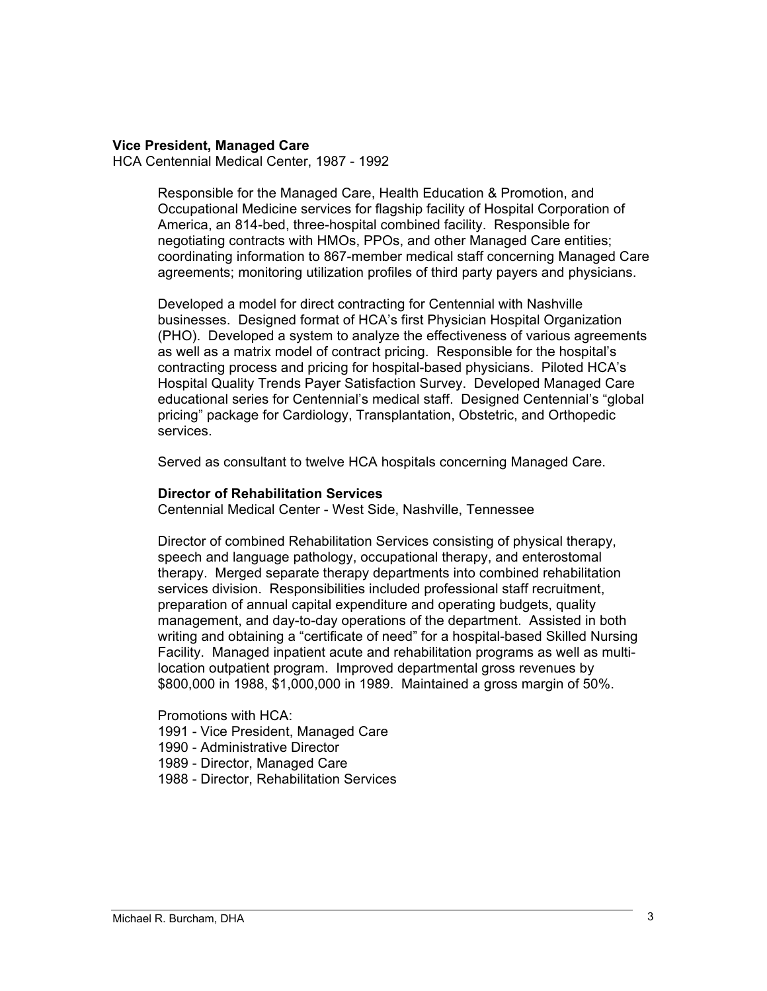## **Vice President, Managed Care**

HCA Centennial Medical Center, 1987 - 1992

Responsible for the Managed Care, Health Education & Promotion, and Occupational Medicine services for flagship facility of Hospital Corporation of America, an 814-bed, three-hospital combined facility. Responsible for negotiating contracts with HMOs, PPOs, and other Managed Care entities; coordinating information to 867-member medical staff concerning Managed Care agreements; monitoring utilization profiles of third party payers and physicians.

Developed a model for direct contracting for Centennial with Nashville businesses. Designed format of HCA's first Physician Hospital Organization (PHO). Developed a system to analyze the effectiveness of various agreements as well as a matrix model of contract pricing. Responsible for the hospital's contracting process and pricing for hospital-based physicians. Piloted HCA's Hospital Quality Trends Payer Satisfaction Survey. Developed Managed Care educational series for Centennial's medical staff. Designed Centennial's "global pricing" package for Cardiology, Transplantation, Obstetric, and Orthopedic services.

Served as consultant to twelve HCA hospitals concerning Managed Care.

#### **Director of Rehabilitation Services**

Centennial Medical Center - West Side, Nashville, Tennessee

Director of combined Rehabilitation Services consisting of physical therapy, speech and language pathology, occupational therapy, and enterostomal therapy. Merged separate therapy departments into combined rehabilitation services division. Responsibilities included professional staff recruitment, preparation of annual capital expenditure and operating budgets, quality management, and day-to-day operations of the department. Assisted in both writing and obtaining a "certificate of need" for a hospital-based Skilled Nursing Facility. Managed inpatient acute and rehabilitation programs as well as multilocation outpatient program. Improved departmental gross revenues by \$800,000 in 1988, \$1,000,000 in 1989. Maintained a gross margin of 50%.

Promotions with HCA:

- 1991 Vice President, Managed Care
- 1990 Administrative Director
- 1989 Director, Managed Care
- 1988 Director, Rehabilitation Services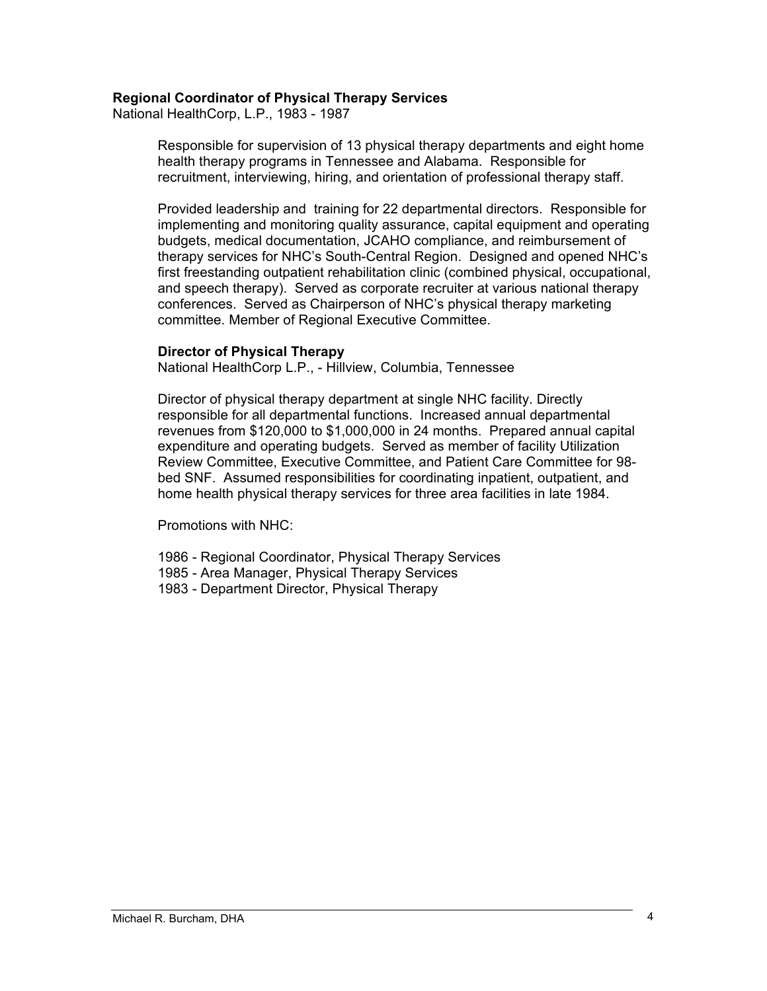## **Regional Coordinator of Physical Therapy Services**

National HealthCorp, L.P., 1983 - 1987

Responsible for supervision of 13 physical therapy departments and eight home health therapy programs in Tennessee and Alabama. Responsible for recruitment, interviewing, hiring, and orientation of professional therapy staff.

Provided leadership and training for 22 departmental directors. Responsible for implementing and monitoring quality assurance, capital equipment and operating budgets, medical documentation, JCAHO compliance, and reimbursement of therapy services for NHC's South-Central Region. Designed and opened NHC's first freestanding outpatient rehabilitation clinic (combined physical, occupational, and speech therapy). Served as corporate recruiter at various national therapy conferences. Served as Chairperson of NHC's physical therapy marketing committee. Member of Regional Executive Committee.

#### **Director of Physical Therapy**

National HealthCorp L.P., - Hillview, Columbia, Tennessee

Director of physical therapy department at single NHC facility. Directly responsible for all departmental functions. Increased annual departmental revenues from \$120,000 to \$1,000,000 in 24 months. Prepared annual capital expenditure and operating budgets. Served as member of facility Utilization Review Committee, Executive Committee, and Patient Care Committee for 98 bed SNF. Assumed responsibilities for coordinating inpatient, outpatient, and home health physical therapy services for three area facilities in late 1984.

Promotions with NHC:

- 1986 Regional Coordinator, Physical Therapy Services
- 1985 Area Manager, Physical Therapy Services
- 1983 Department Director, Physical Therapy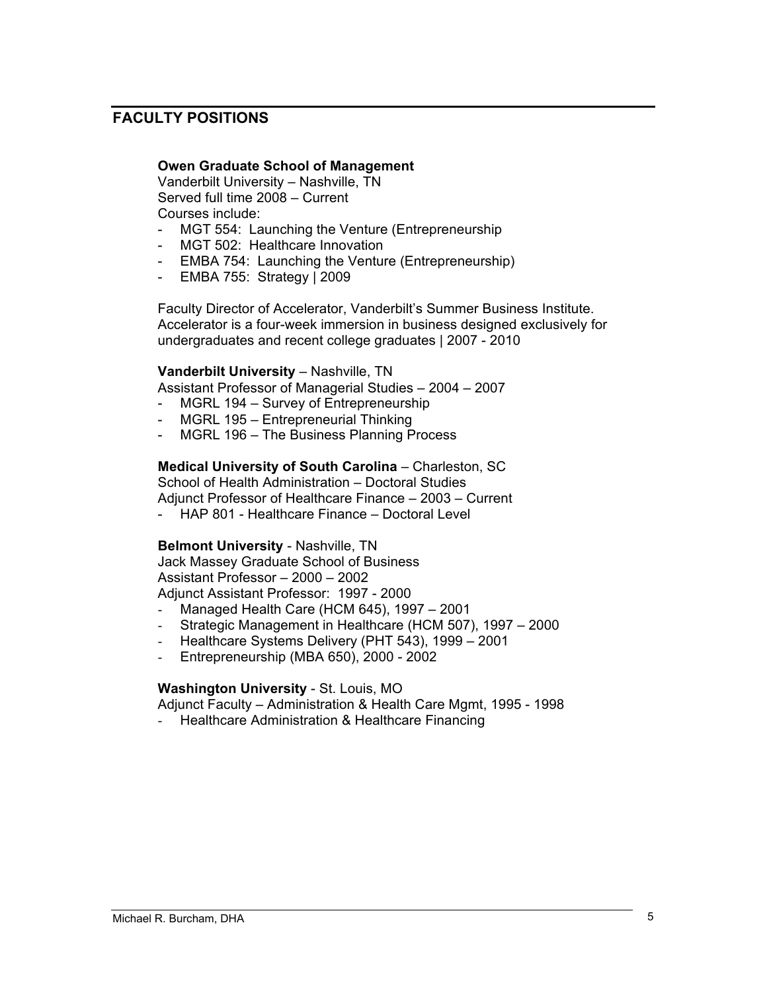# **FACULTY POSITIONS**

## **Owen Graduate School of Management**

Vanderbilt University – Nashville, TN Served full time 2008 – Current Courses include:

- MGT 554: Launching the Venture (Entrepreneurship
- MGT 502: Healthcare Innovation
- EMBA 754: Launching the Venture (Entrepreneurship)
- EMBA 755: Strategy | 2009

Faculty Director of Accelerator, Vanderbilt's Summer Business Institute. Accelerator is a four-week immersion in business designed exclusively for undergraduates and recent college graduates | 2007 - 2010

### **Vanderbilt University - Nashville, TN**

Assistant Professor of Managerial Studies – 2004 – 2007

- MGRL 194 Survey of Entrepreneurship
- MGRL 195 Entrepreneurial Thinking
- MGRL 196 The Business Planning Process

## **Medical University of South Carolina** – Charleston, SC

School of Health Administration – Doctoral Studies Adjunct Professor of Healthcare Finance – 2003 – Current

- HAP 801 - Healthcare Finance – Doctoral Level

#### **Belmont University** - Nashville, TN

Jack Massey Graduate School of Business Assistant Professor – 2000 – 2002 Adjunct Assistant Professor: 1997 - 2000

- Managed Health Care (HCM 645), 1997 2001
- Strategic Management in Healthcare (HCM 507), 1997 2000
- Healthcare Systems Delivery (PHT 543), 1999 2001
- Entrepreneurship (MBA 650), 2000 2002

## **Washington University** - St. Louis, MO

Adjunct Faculty – Administration & Health Care Mgmt, 1995 - 1998 - Healthcare Administration & Healthcare Financing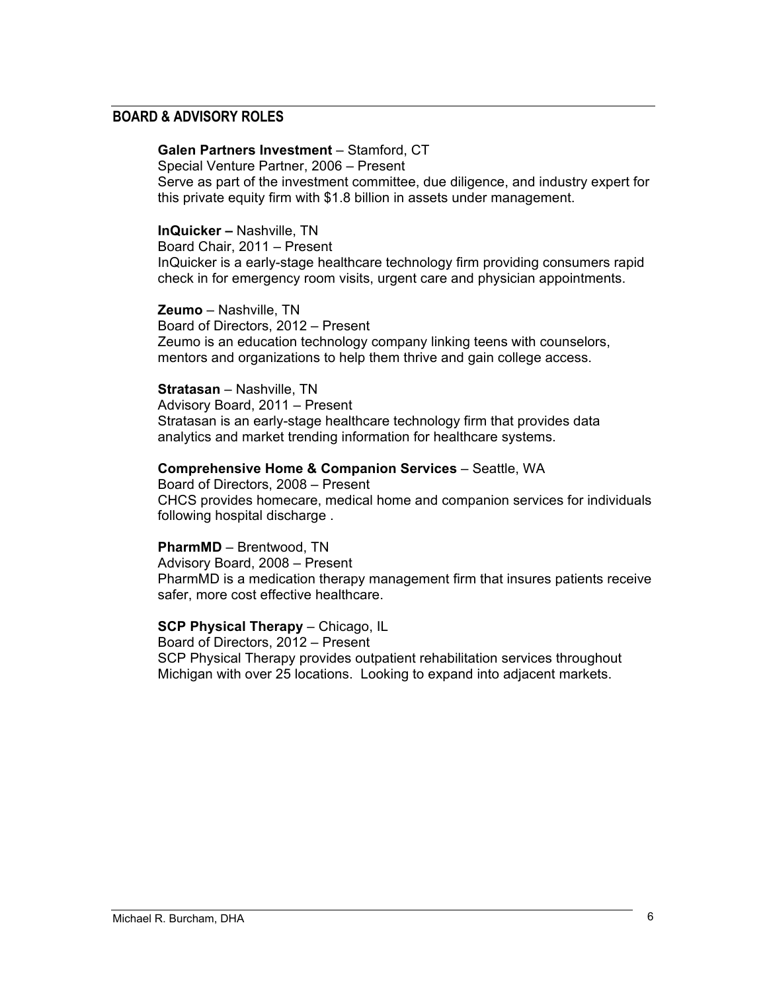## **BOARD & ADVISORY ROLES**

## **Galen Partners Investment - Stamford, CT**

Special Venture Partner, 2006 – Present Serve as part of the investment committee, due diligence, and industry expert for this private equity firm with \$1.8 billion in assets under management.

### **InQuicker –** Nashville, TN

Board Chair, 2011 – Present InQuicker is a early-stage healthcare technology firm providing consumers rapid check in for emergency room visits, urgent care and physician appointments.

**Zeumo** – Nashville, TN Board of Directors, 2012 – Present Zeumo is an education technology company linking teens with counselors, mentors and organizations to help them thrive and gain college access.

#### **Stratasan** – Nashville, TN

Advisory Board, 2011 – Present Stratasan is an early-stage healthcare technology firm that provides data analytics and market trending information for healthcare systems.

### **Comprehensive Home & Companion Services - Seattle, WA**

Board of Directors, 2008 – Present CHCS provides homecare, medical home and companion services for individuals following hospital discharge .

#### **PharmMD** – Brentwood, TN

Advisory Board, 2008 – Present PharmMD is a medication therapy management firm that insures patients receive safer, more cost effective healthcare.

# **SCP Physical Therapy** – Chicago, IL

Board of Directors, 2012 – Present SCP Physical Therapy provides outpatient rehabilitation services throughout Michigan with over 25 locations. Looking to expand into adjacent markets.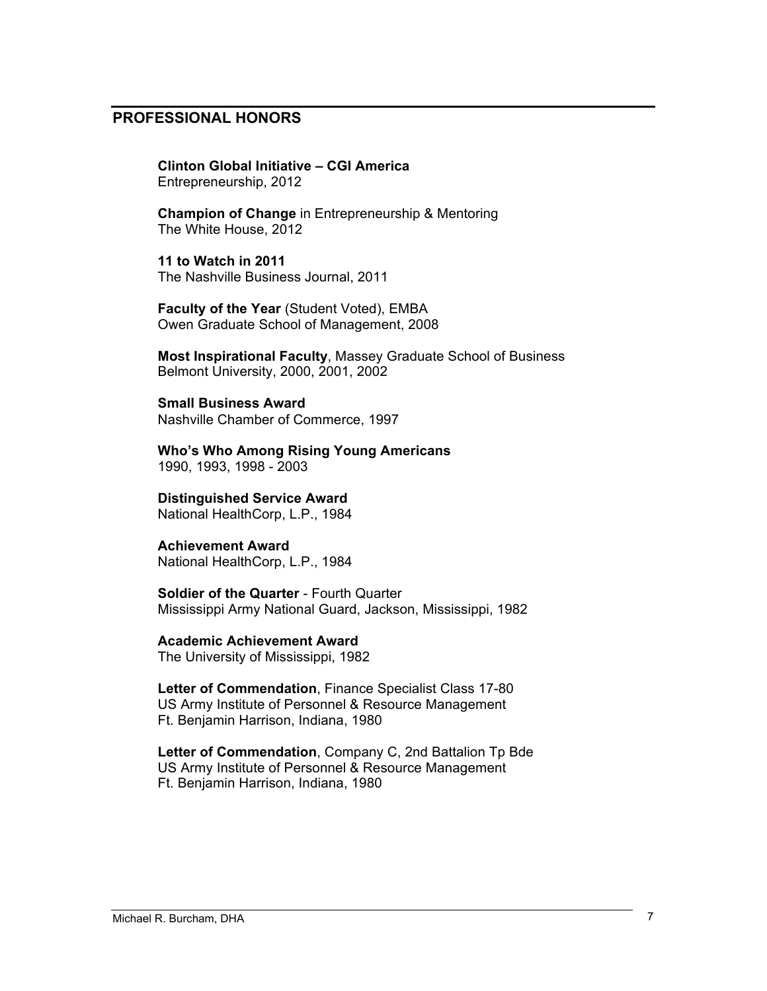# **PROFESSIONAL HONORS**

**Clinton Global Initiative – CGI America** Entrepreneurship, 2012

**Champion of Change** in Entrepreneurship & Mentoring The White House, 2012

**11 to Watch in 2011** The Nashville Business Journal, 2011

**Faculty of the Year** (Student Voted), EMBA Owen Graduate School of Management, 2008

**Most Inspirational Faculty**, Massey Graduate School of Business Belmont University, 2000, 2001, 2002

**Small Business Award** Nashville Chamber of Commerce, 1997

**Who's Who Among Rising Young Americans** 1990, 1993, 1998 - 2003

**Distinguished Service Award**

National HealthCorp, L.P., 1984

# **Achievement Award**

National HealthCorp, L.P., 1984

**Soldier of the Quarter** - Fourth Quarter Mississippi Army National Guard, Jackson, Mississippi, 1982

## **Academic Achievement Award**

The University of Mississippi, 1982

**Letter of Commendation**, Finance Specialist Class 17-80 US Army Institute of Personnel & Resource Management Ft. Benjamin Harrison, Indiana, 1980

**Letter of Commendation**, Company C, 2nd Battalion Tp Bde US Army Institute of Personnel & Resource Management Ft. Benjamin Harrison, Indiana, 1980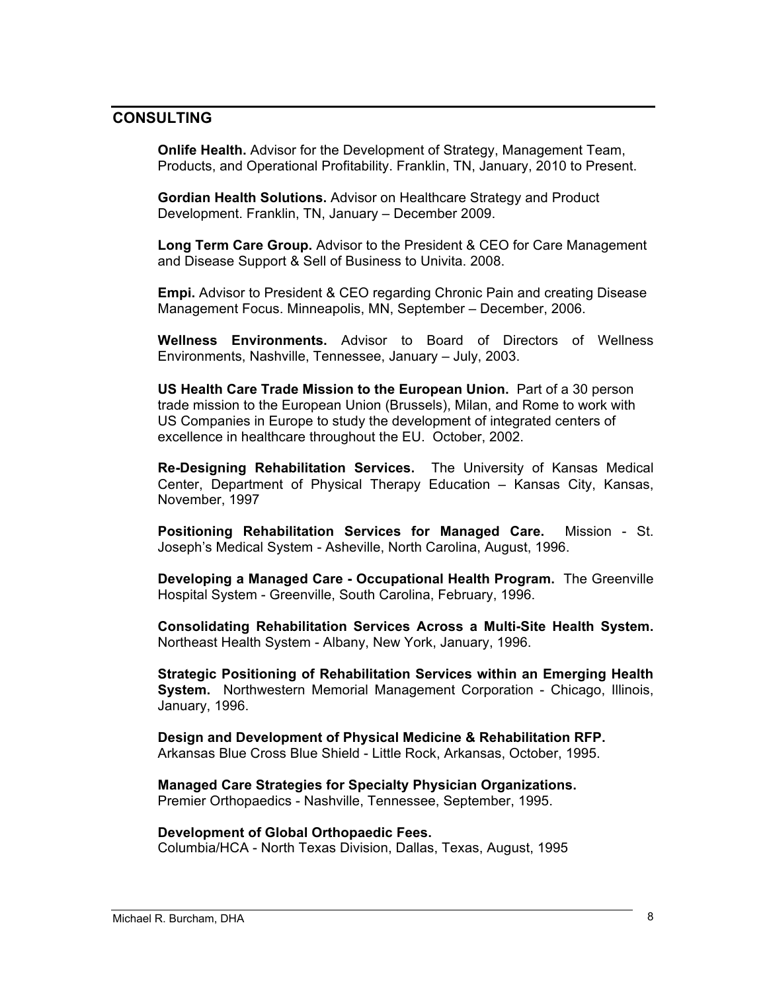# **CONSULTING**

**Onlife Health.** Advisor for the Development of Strategy, Management Team, Products, and Operational Profitability. Franklin, TN, January, 2010 to Present.

**Gordian Health Solutions.** Advisor on Healthcare Strategy and Product Development. Franklin, TN, January – December 2009.

**Long Term Care Group.** Advisor to the President & CEO for Care Management and Disease Support & Sell of Business to Univita. 2008.

**Empi.** Advisor to President & CEO regarding Chronic Pain and creating Disease Management Focus. Minneapolis, MN, September – December, 2006.

**Wellness Environments.** Advisor to Board of Directors of Wellness Environments, Nashville, Tennessee, January – July, 2003.

**US Health Care Trade Mission to the European Union.** Part of a 30 person trade mission to the European Union (Brussels), Milan, and Rome to work with US Companies in Europe to study the development of integrated centers of excellence in healthcare throughout the EU. October, 2002.

**Re-Designing Rehabilitation Services.** The University of Kansas Medical Center, Department of Physical Therapy Education – Kansas City, Kansas, November, 1997

**Positioning Rehabilitation Services for Managed Care.** Mission - St. Joseph's Medical System - Asheville, North Carolina, August, 1996.

**Developing a Managed Care - Occupational Health Program.** The Greenville Hospital System - Greenville, South Carolina, February, 1996.

**Consolidating Rehabilitation Services Across a Multi-Site Health System.**  Northeast Health System - Albany, New York, January, 1996.

**Strategic Positioning of Rehabilitation Services within an Emerging Health System.** Northwestern Memorial Management Corporation - Chicago, Illinois, January, 1996.

**Design and Development of Physical Medicine & Rehabilitation RFP.** Arkansas Blue Cross Blue Shield - Little Rock, Arkansas, October, 1995.

**Managed Care Strategies for Specialty Physician Organizations.** Premier Orthopaedics - Nashville, Tennessee, September, 1995.

#### **Development of Global Orthopaedic Fees.**

Columbia/HCA - North Texas Division, Dallas, Texas, August, 1995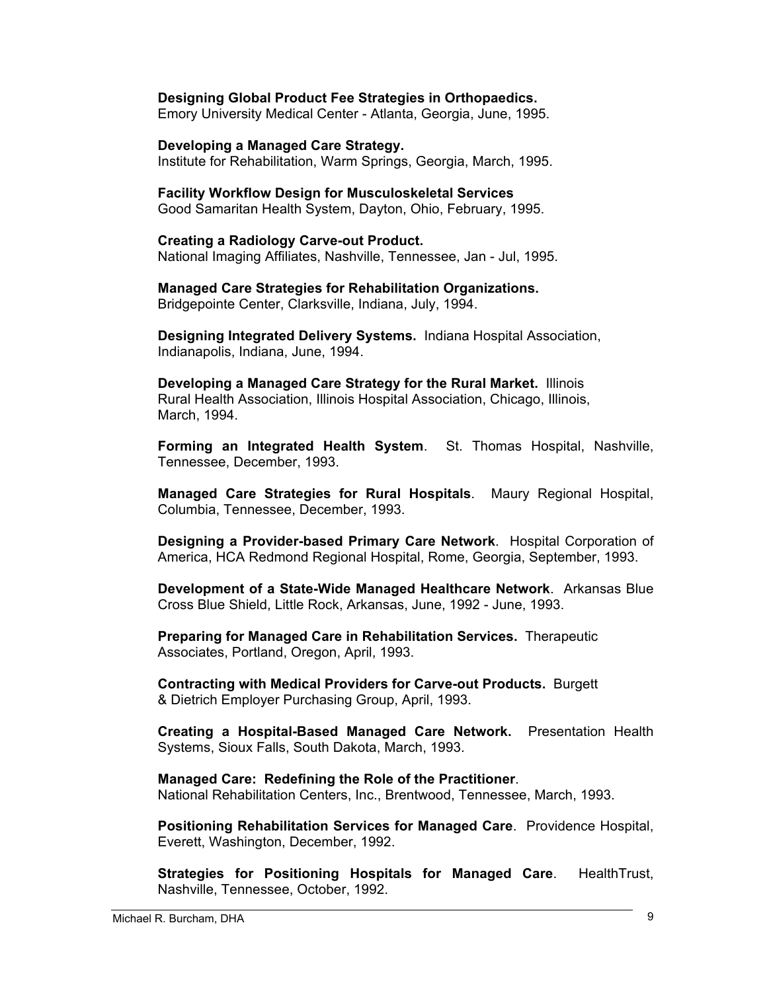### **Designing Global Product Fee Strategies in Orthopaedics.**

Emory University Medical Center - Atlanta, Georgia, June, 1995.

#### **Developing a Managed Care Strategy.**

Institute for Rehabilitation, Warm Springs, Georgia, March, 1995.

#### **Facility Workflow Design for Musculoskeletal Services**

Good Samaritan Health System, Dayton, Ohio, February, 1995.

#### **Creating a Radiology Carve-out Product.**

National Imaging Affiliates, Nashville, Tennessee, Jan - Jul, 1995.

### **Managed Care Strategies for Rehabilitation Organizations.**

Bridgepointe Center, Clarksville, Indiana, July, 1994.

**Designing Integrated Delivery Systems.** Indiana Hospital Association, Indianapolis, Indiana, June, 1994.

**Developing a Managed Care Strategy for the Rural Market.** Illinois Rural Health Association, Illinois Hospital Association, Chicago, Illinois, March, 1994.

**Forming an Integrated Health System**. St. Thomas Hospital, Nashville, Tennessee, December, 1993.

**Managed Care Strategies for Rural Hospitals**. Maury Regional Hospital, Columbia, Tennessee, December, 1993.

**Designing a Provider-based Primary Care Network**. Hospital Corporation of America, HCA Redmond Regional Hospital, Rome, Georgia, September, 1993.

**Development of a State-Wide Managed Healthcare Network**. Arkansas Blue Cross Blue Shield, Little Rock, Arkansas, June, 1992 - June, 1993.

**Preparing for Managed Care in Rehabilitation Services.** Therapeutic Associates, Portland, Oregon, April, 1993.

**Contracting with Medical Providers for Carve-out Products.** Burgett & Dietrich Employer Purchasing Group, April, 1993.

**Creating a Hospital-Based Managed Care Network.** Presentation Health Systems, Sioux Falls, South Dakota, March, 1993.

**Managed Care: Redefining the Role of the Practitioner**. National Rehabilitation Centers, Inc., Brentwood, Tennessee, March, 1993.

**Positioning Rehabilitation Services for Managed Care**. Providence Hospital, Everett, Washington, December, 1992.

**Strategies for Positioning Hospitals for Managed Care**. HealthTrust, Nashville, Tennessee, October, 1992.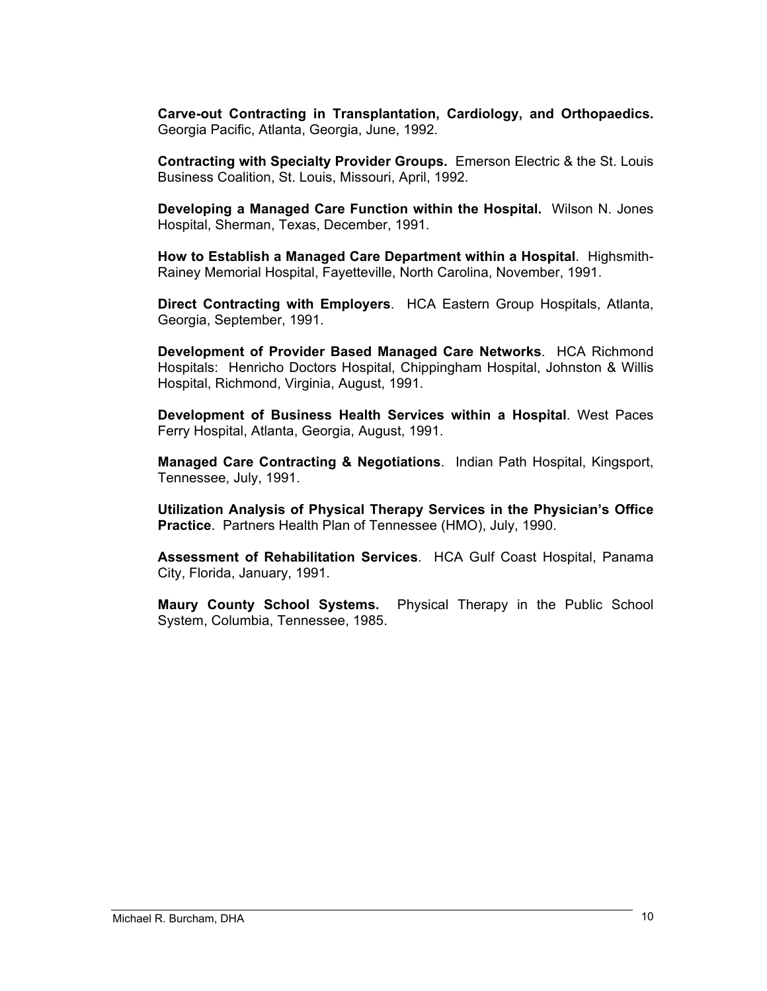**Carve-out Contracting in Transplantation, Cardiology, and Orthopaedics.** Georgia Pacific, Atlanta, Georgia, June, 1992.

**Contracting with Specialty Provider Groups.** Emerson Electric & the St. Louis Business Coalition, St. Louis, Missouri, April, 1992.

**Developing a Managed Care Function within the Hospital.** Wilson N. Jones Hospital, Sherman, Texas, December, 1991.

**How to Establish a Managed Care Department within a Hospital**. Highsmith-Rainey Memorial Hospital, Fayetteville, North Carolina, November, 1991.

**Direct Contracting with Employers**. HCA Eastern Group Hospitals, Atlanta, Georgia, September, 1991.

**Development of Provider Based Managed Care Networks**. HCA Richmond Hospitals: Henricho Doctors Hospital, Chippingham Hospital, Johnston & Willis Hospital, Richmond, Virginia, August, 1991.

**Development of Business Health Services within a Hospital**. West Paces Ferry Hospital, Atlanta, Georgia, August, 1991.

**Managed Care Contracting & Negotiations**. Indian Path Hospital, Kingsport, Tennessee, July, 1991.

**Utilization Analysis of Physical Therapy Services in the Physician's Office Practice**. Partners Health Plan of Tennessee (HMO), July, 1990.

**Assessment of Rehabilitation Services**. HCA Gulf Coast Hospital, Panama City, Florida, January, 1991.

**Maury County School Systems.** Physical Therapy in the Public School System, Columbia, Tennessee, 1985.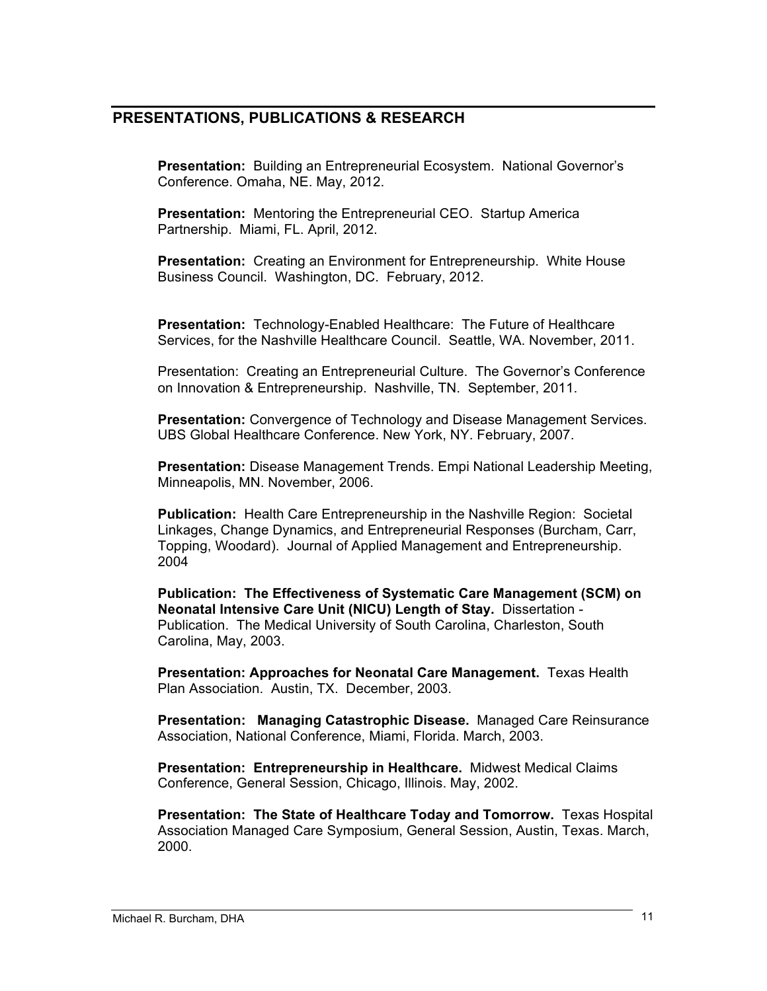# **PRESENTATIONS, PUBLICATIONS & RESEARCH**

**Presentation:** Building an Entrepreneurial Ecosystem. National Governor's Conference. Omaha, NE. May, 2012.

**Presentation:** Mentoring the Entrepreneurial CEO. Startup America Partnership. Miami, FL. April, 2012.

**Presentation:** Creating an Environment for Entrepreneurship. White House Business Council. Washington, DC. February, 2012.

**Presentation:** Technology-Enabled Healthcare: The Future of Healthcare Services, for the Nashville Healthcare Council. Seattle, WA. November, 2011.

Presentation: Creating an Entrepreneurial Culture. The Governor's Conference on Innovation & Entrepreneurship. Nashville, TN. September, 2011.

**Presentation:** Convergence of Technology and Disease Management Services. UBS Global Healthcare Conference. New York, NY. February, 2007.

**Presentation:** Disease Management Trends. Empi National Leadership Meeting, Minneapolis, MN. November, 2006.

**Publication:** Health Care Entrepreneurship in the Nashville Region: Societal Linkages, Change Dynamics, and Entrepreneurial Responses (Burcham, Carr, Topping, Woodard). Journal of Applied Management and Entrepreneurship. 2004

**Publication: The Effectiveness of Systematic Care Management (SCM) on Neonatal Intensive Care Unit (NICU) Length of Stay.** Dissertation - Publication. The Medical University of South Carolina, Charleston, South Carolina, May, 2003.

**Presentation: Approaches for Neonatal Care Management.** Texas Health Plan Association. Austin, TX. December, 2003.

**Presentation: Managing Catastrophic Disease.** Managed Care Reinsurance Association, National Conference, Miami, Florida. March, 2003.

**Presentation: Entrepreneurship in Healthcare.** Midwest Medical Claims Conference, General Session, Chicago, Illinois. May, 2002.

**Presentation: The State of Healthcare Today and Tomorrow.** Texas Hospital Association Managed Care Symposium, General Session, Austin, Texas. March, 2000.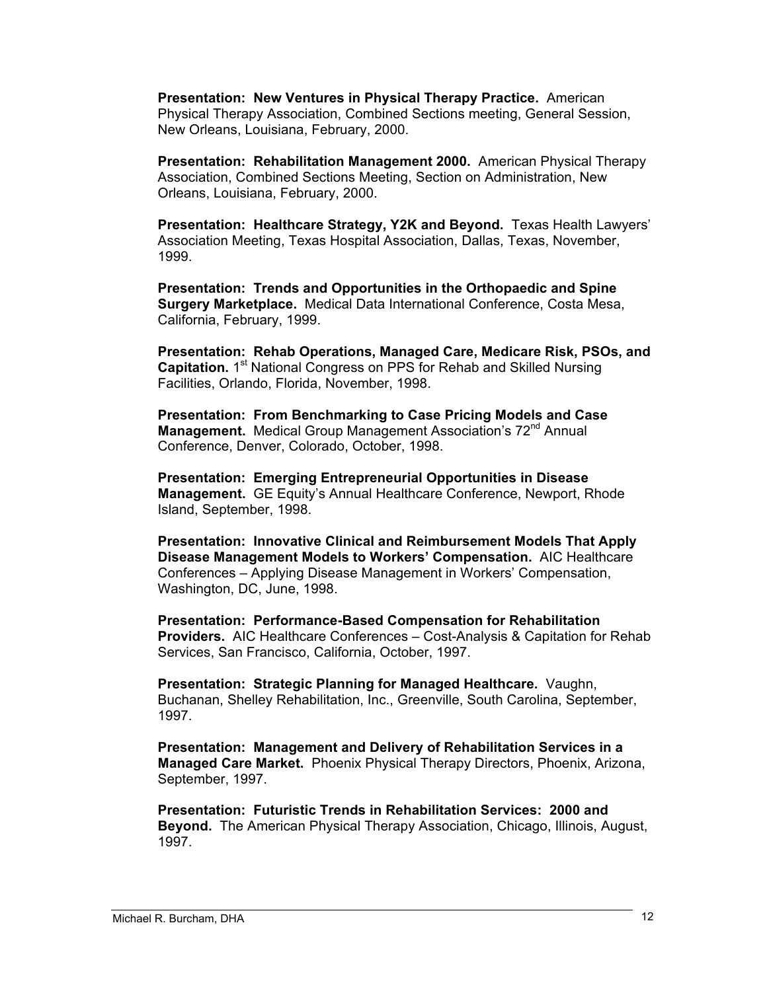**Presentation: New Ventures in Physical Therapy Practice.** American Physical Therapy Association, Combined Sections meeting, General Session, New Orleans, Louisiana, February, 2000.

**Presentation: Rehabilitation Management 2000.** American Physical Therapy Association, Combined Sections Meeting, Section on Administration, New Orleans, Louisiana, February, 2000.

**Presentation: Healthcare Strategy, Y2K and Beyond.** Texas Health Lawyers' Association Meeting, Texas Hospital Association, Dallas, Texas, November, 1999.

**Presentation: Trends and Opportunities in the Orthopaedic and Spine Surgery Marketplace.** Medical Data International Conference, Costa Mesa, California, February, 1999.

**Presentation: Rehab Operations, Managed Care, Medicare Risk, PSOs, and Capitation.** 1<sup>st</sup> National Congress on PPS for Rehab and Skilled Nursing Facilities, Orlando, Florida, November, 1998.

**Presentation: From Benchmarking to Case Pricing Models and Case Management.** Medical Group Management Association's 72<sup>nd</sup> Annual Conference, Denver, Colorado, October, 1998.

**Presentation: Emerging Entrepreneurial Opportunities in Disease Management.** GE Equity's Annual Healthcare Conference, Newport, Rhode Island, September, 1998.

**Presentation: Innovative Clinical and Reimbursement Models That Apply Disease Management Models to Workers' Compensation.** AIC Healthcare Conferences – Applying Disease Management in Workers' Compensation, Washington, DC, June, 1998.

**Presentation: Performance-Based Compensation for Rehabilitation Providers.** AIC Healthcare Conferences – Cost-Analysis & Capitation for Rehab Services, San Francisco, California, October, 1997.

**Presentation: Strategic Planning for Managed Healthcare.** Vaughn, Buchanan, Shelley Rehabilitation, Inc., Greenville, South Carolina, September, 1997.

**Presentation: Management and Delivery of Rehabilitation Services in a Managed Care Market.** Phoenix Physical Therapy Directors, Phoenix, Arizona, September, 1997.

**Presentation: Futuristic Trends in Rehabilitation Services: 2000 and Beyond.** The American Physical Therapy Association, Chicago, Illinois, August, 1997.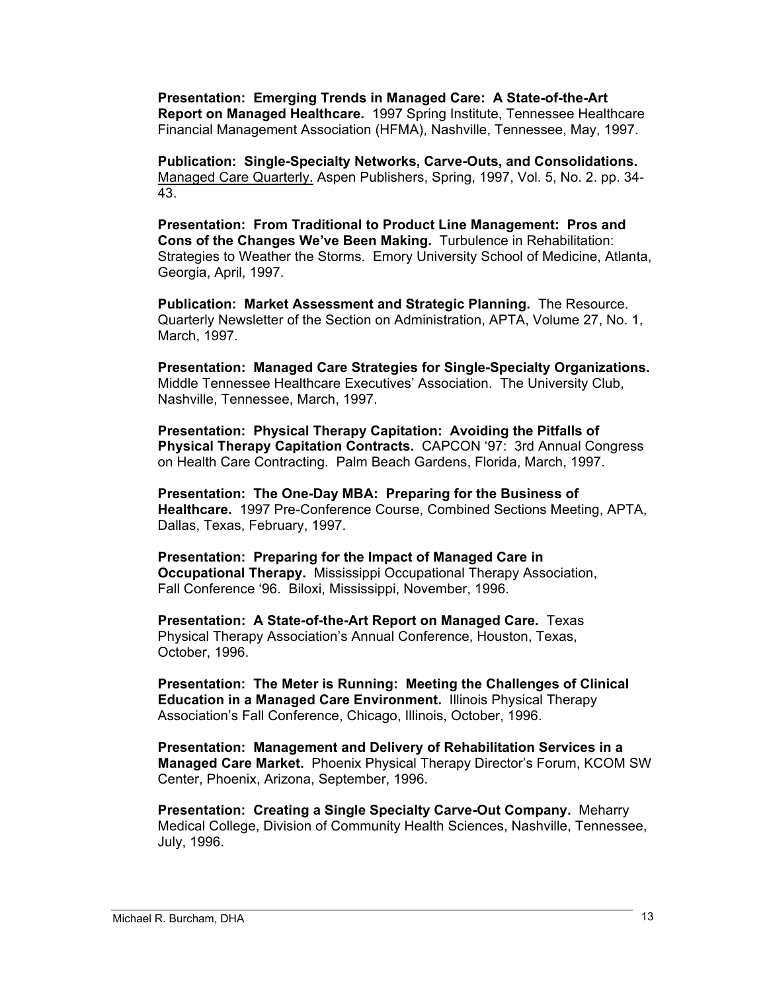**Presentation: Emerging Trends in Managed Care: A State-of-the-Art Report on Managed Healthcare.** 1997 Spring Institute, Tennessee Healthcare Financial Management Association (HFMA), Nashville, Tennessee, May, 1997.

**Publication: Single-Specialty Networks, Carve-Outs, and Consolidations.**  Managed Care Quarterly. Aspen Publishers, Spring, 1997, Vol. 5, No. 2. pp. 34- 43.

**Presentation: From Traditional to Product Line Management: Pros and Cons of the Changes We've Been Making.** Turbulence in Rehabilitation: Strategies to Weather the Storms. Emory University School of Medicine, Atlanta, Georgia, April, 1997.

**Publication: Market Assessment and Strategic Planning.** The Resource. Quarterly Newsletter of the Section on Administration, APTA, Volume 27, No. 1, March, 1997.

**Presentation: Managed Care Strategies for Single-Specialty Organizations.**  Middle Tennessee Healthcare Executives' Association. The University Club, Nashville, Tennessee, March, 1997.

**Presentation: Physical Therapy Capitation: Avoiding the Pitfalls of Physical Therapy Capitation Contracts.** CAPCON '97: 3rd Annual Congress on Health Care Contracting. Palm Beach Gardens, Florida, March, 1997.

**Presentation: The One-Day MBA: Preparing for the Business of Healthcare.** 1997 Pre-Conference Course, Combined Sections Meeting, APTA, Dallas, Texas, February, 1997.

**Presentation: Preparing for the Impact of Managed Care in Occupational Therapy.** Mississippi Occupational Therapy Association, Fall Conference '96. Biloxi, Mississippi, November, 1996.

**Presentation: A State-of-the-Art Report on Managed Care.** Texas Physical Therapy Association's Annual Conference, Houston, Texas, October, 1996.

**Presentation: The Meter is Running: Meeting the Challenges of Clinical Education in a Managed Care Environment.** Illinois Physical Therapy Association's Fall Conference, Chicago, Illinois, October, 1996.

**Presentation: Management and Delivery of Rehabilitation Services in a Managed Care Market.** Phoenix Physical Therapy Director's Forum, KCOM SW Center, Phoenix, Arizona, September, 1996.

**Presentation: Creating a Single Specialty Carve-Out Company.** Meharry Medical College, Division of Community Health Sciences, Nashville, Tennessee, July, 1996.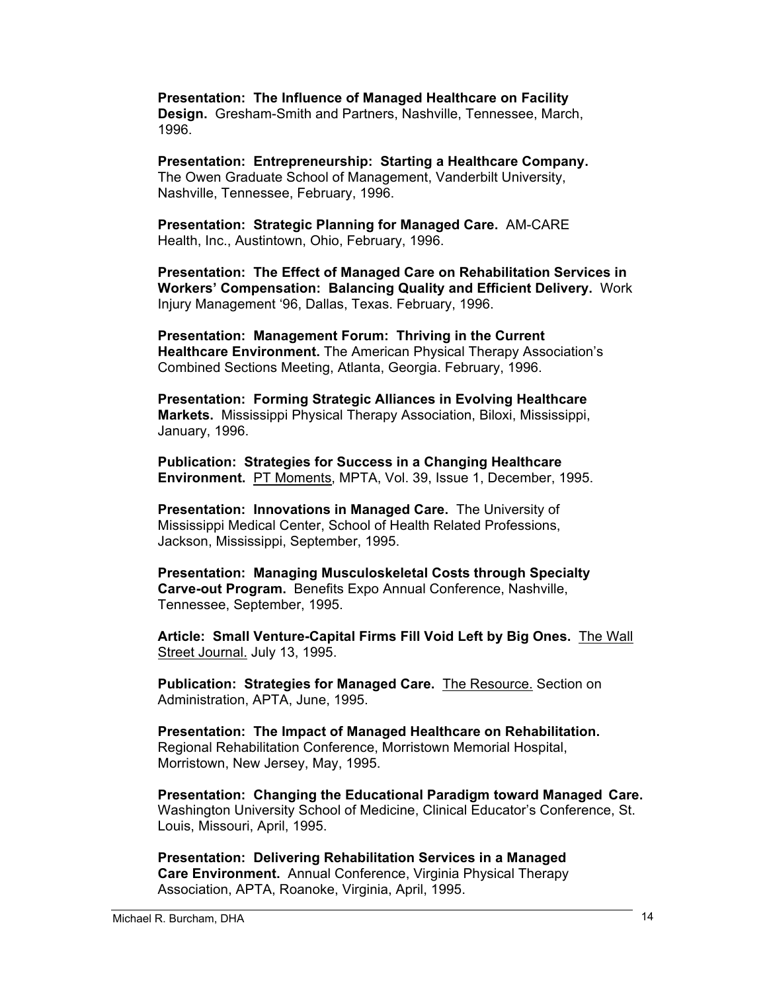**Presentation: The Influence of Managed Healthcare on Facility Design.** Gresham-Smith and Partners, Nashville, Tennessee, March, 1996.

**Presentation: Entrepreneurship: Starting a Healthcare Company.**  The Owen Graduate School of Management, Vanderbilt University, Nashville, Tennessee, February, 1996.

**Presentation: Strategic Planning for Managed Care.** AM-CARE Health, Inc., Austintown, Ohio, February, 1996.

**Presentation: The Effect of Managed Care on Rehabilitation Services in Workers' Compensation: Balancing Quality and Efficient Delivery.** Work Injury Management '96, Dallas, Texas. February, 1996.

**Presentation: Management Forum: Thriving in the Current Healthcare Environment.** The American Physical Therapy Association's Combined Sections Meeting, Atlanta, Georgia. February, 1996.

**Presentation: Forming Strategic Alliances in Evolving Healthcare Markets.** Mississippi Physical Therapy Association, Biloxi, Mississippi, January, 1996.

**Publication: Strategies for Success in a Changing Healthcare Environment.** PT Moments, MPTA, Vol. 39, Issue 1, December, 1995.

**Presentation: Innovations in Managed Care.** The University of Mississippi Medical Center, School of Health Related Professions, Jackson, Mississippi, September, 1995.

**Presentation: Managing Musculoskeletal Costs through Specialty Carve-out Program.** Benefits Expo Annual Conference, Nashville, Tennessee, September, 1995.

**Article: Small Venture-Capital Firms Fill Void Left by Big Ones.** The Wall Street Journal. July 13, 1995.

**Publication: Strategies for Managed Care.** The Resource. Section on Administration, APTA, June, 1995.

**Presentation: The Impact of Managed Healthcare on Rehabilitation.**  Regional Rehabilitation Conference, Morristown Memorial Hospital, Morristown, New Jersey, May, 1995.

**Presentation: Changing the Educational Paradigm toward Managed Care.**  Washington University School of Medicine, Clinical Educator's Conference, St. Louis, Missouri, April, 1995.

**Presentation: Delivering Rehabilitation Services in a Managed Care Environment.** Annual Conference, Virginia Physical Therapy Association, APTA, Roanoke, Virginia, April, 1995.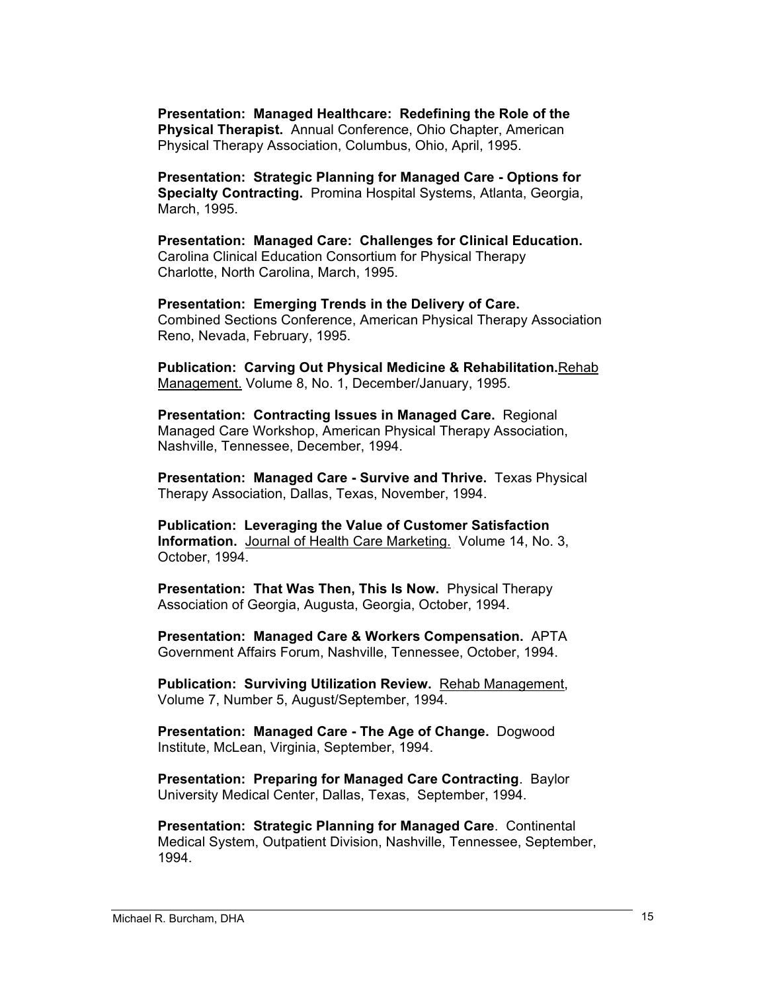**Presentation: Managed Healthcare: Redefining the Role of the Physical Therapist.** Annual Conference, Ohio Chapter, American Physical Therapy Association, Columbus, Ohio, April, 1995.

**Presentation: Strategic Planning for Managed Care - Options for Specialty Contracting.** Promina Hospital Systems, Atlanta, Georgia, March, 1995.

**Presentation: Managed Care: Challenges for Clinical Education.** Carolina Clinical Education Consortium for Physical Therapy Charlotte, North Carolina, March, 1995.

**Presentation: Emerging Trends in the Delivery of Care.** Combined Sections Conference, American Physical Therapy Association Reno, Nevada, February, 1995.

**Publication: Carving Out Physical Medicine & Rehabilitation.**Rehab Management. Volume 8, No. 1, December/January, 1995.

**Presentation: Contracting Issues in Managed Care.** Regional Managed Care Workshop, American Physical Therapy Association, Nashville, Tennessee, December, 1994.

**Presentation: Managed Care - Survive and Thrive.** Texas Physical Therapy Association, Dallas, Texas, November, 1994.

**Publication: Leveraging the Value of Customer Satisfaction Information.** Journal of Health Care Marketing. Volume 14, No. 3, October, 1994.

**Presentation: That Was Then, This Is Now.** Physical Therapy Association of Georgia, Augusta, Georgia, October, 1994.

**Presentation: Managed Care & Workers Compensation.** APTA Government Affairs Forum, Nashville, Tennessee, October, 1994.

**Publication: Surviving Utilization Review.** Rehab Management, Volume 7, Number 5, August/September, 1994.

**Presentation: Managed Care - The Age of Change.** Dogwood Institute, McLean, Virginia, September, 1994.

**Presentation: Preparing for Managed Care Contracting**. Baylor University Medical Center, Dallas, Texas, September, 1994.

**Presentation: Strategic Planning for Managed Care**. Continental Medical System, Outpatient Division, Nashville, Tennessee, September, 1994.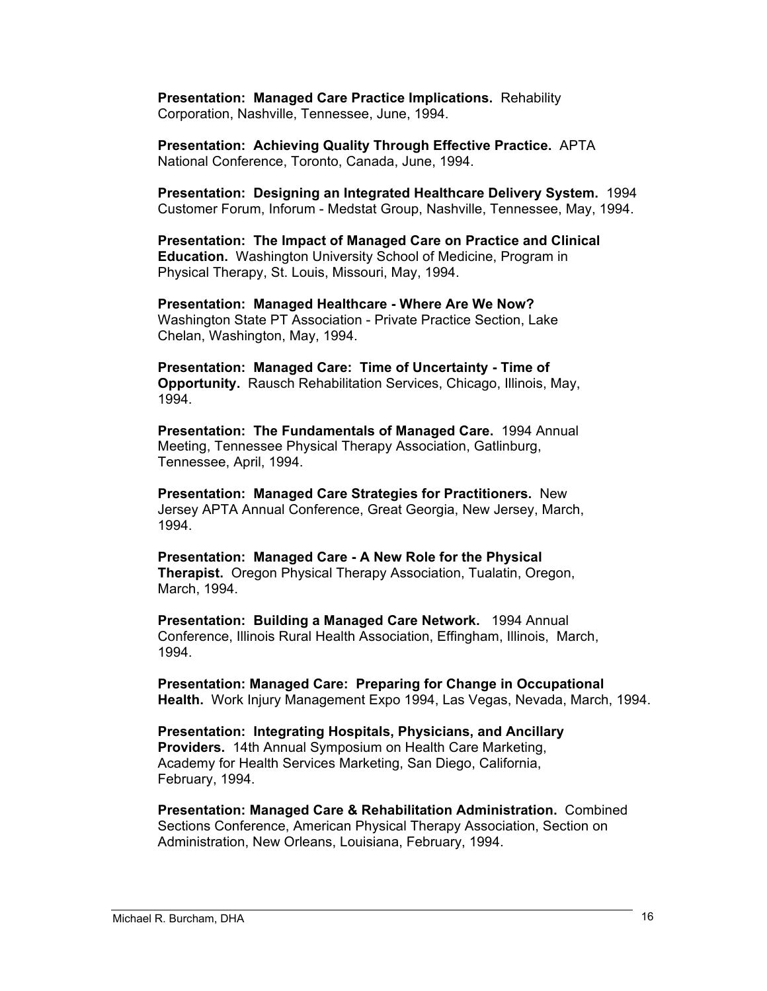**Presentation: Managed Care Practice Implications.** Rehability Corporation, Nashville, Tennessee, June, 1994.

**Presentation: Achieving Quality Through Effective Practice.** APTA National Conference, Toronto, Canada, June, 1994.

**Presentation: Designing an Integrated Healthcare Delivery System.** 1994 Customer Forum, Inforum - Medstat Group, Nashville, Tennessee, May, 1994.

**Presentation: The Impact of Managed Care on Practice and Clinical Education.** Washington University School of Medicine, Program in Physical Therapy, St. Louis, Missouri, May, 1994.

**Presentation: Managed Healthcare - Where Are We Now?** Washington State PT Association - Private Practice Section, Lake Chelan, Washington, May, 1994.

**Presentation: Managed Care: Time of Uncertainty - Time of Opportunity.** Rausch Rehabilitation Services, Chicago, Illinois, May, 1994.

**Presentation: The Fundamentals of Managed Care.** 1994 Annual Meeting, Tennessee Physical Therapy Association, Gatlinburg, Tennessee, April, 1994.

**Presentation: Managed Care Strategies for Practitioners.** New Jersey APTA Annual Conference, Great Georgia, New Jersey, March, 1994.

**Presentation: Managed Care - A New Role for the Physical Therapist.** Oregon Physical Therapy Association, Tualatin, Oregon, March, 1994.

**Presentation: Building a Managed Care Network.** 1994 Annual Conference, Illinois Rural Health Association, Effingham, Illinois, March, 1994.

**Presentation: Managed Care: Preparing for Change in Occupational Health.** Work Injury Management Expo 1994, Las Vegas, Nevada, March, 1994.

**Presentation: Integrating Hospitals, Physicians, and Ancillary Providers.** 14th Annual Symposium on Health Care Marketing, Academy for Health Services Marketing, San Diego, California, February, 1994.

**Presentation: Managed Care & Rehabilitation Administration.** Combined Sections Conference, American Physical Therapy Association, Section on Administration, New Orleans, Louisiana, February, 1994.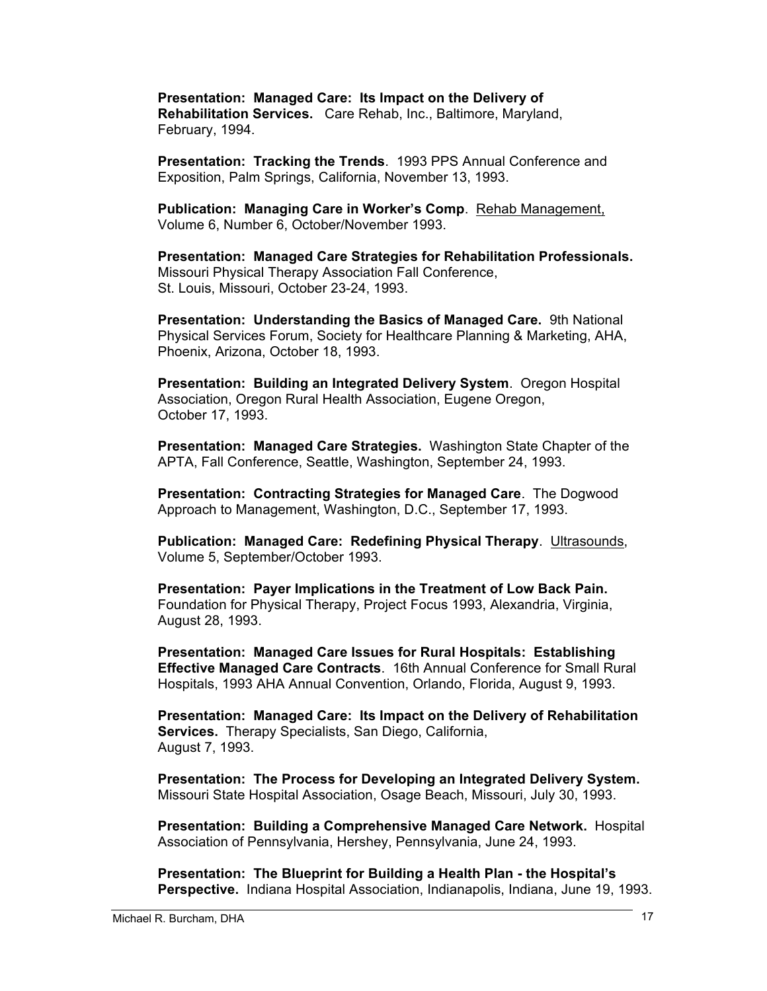**Presentation: Managed Care: Its Impact on the Delivery of Rehabilitation Services.** Care Rehab, Inc., Baltimore, Maryland, February, 1994.

**Presentation: Tracking the Trends**. 1993 PPS Annual Conference and Exposition, Palm Springs, California, November 13, 1993.

**Publication: Managing Care in Worker's Comp**. Rehab Management, Volume 6, Number 6, October/November 1993.

**Presentation: Managed Care Strategies for Rehabilitation Professionals.** Missouri Physical Therapy Association Fall Conference, St. Louis, Missouri, October 23-24, 1993.

**Presentation: Understanding the Basics of Managed Care.** 9th National Physical Services Forum, Society for Healthcare Planning & Marketing, AHA, Phoenix, Arizona, October 18, 1993.

**Presentation: Building an Integrated Delivery System**. Oregon Hospital Association, Oregon Rural Health Association, Eugene Oregon, October 17, 1993.

**Presentation: Managed Care Strategies.** Washington State Chapter of the APTA, Fall Conference, Seattle, Washington, September 24, 1993.

**Presentation: Contracting Strategies for Managed Care**. The Dogwood Approach to Management, Washington, D.C., September 17, 1993.

**Publication: Managed Care: Redefining Physical Therapy**. Ultrasounds, Volume 5, September/October 1993.

**Presentation: Payer Implications in the Treatment of Low Back Pain.** Foundation for Physical Therapy, Project Focus 1993, Alexandria, Virginia, August 28, 1993.

**Presentation: Managed Care Issues for Rural Hospitals: Establishing Effective Managed Care Contracts**. 16th Annual Conference for Small Rural Hospitals, 1993 AHA Annual Convention, Orlando, Florida, August 9, 1993.

**Presentation: Managed Care: Its Impact on the Delivery of Rehabilitation Services.** Therapy Specialists, San Diego, California, August 7, 1993.

**Presentation: The Process for Developing an Integrated Delivery System.** Missouri State Hospital Association, Osage Beach, Missouri, July 30, 1993.

**Presentation: Building a Comprehensive Managed Care Network.** Hospital Association of Pennsylvania, Hershey, Pennsylvania, June 24, 1993.

**Presentation: The Blueprint for Building a Health Plan - the Hospital's Perspective.** Indiana Hospital Association, Indianapolis, Indiana, June 19, 1993.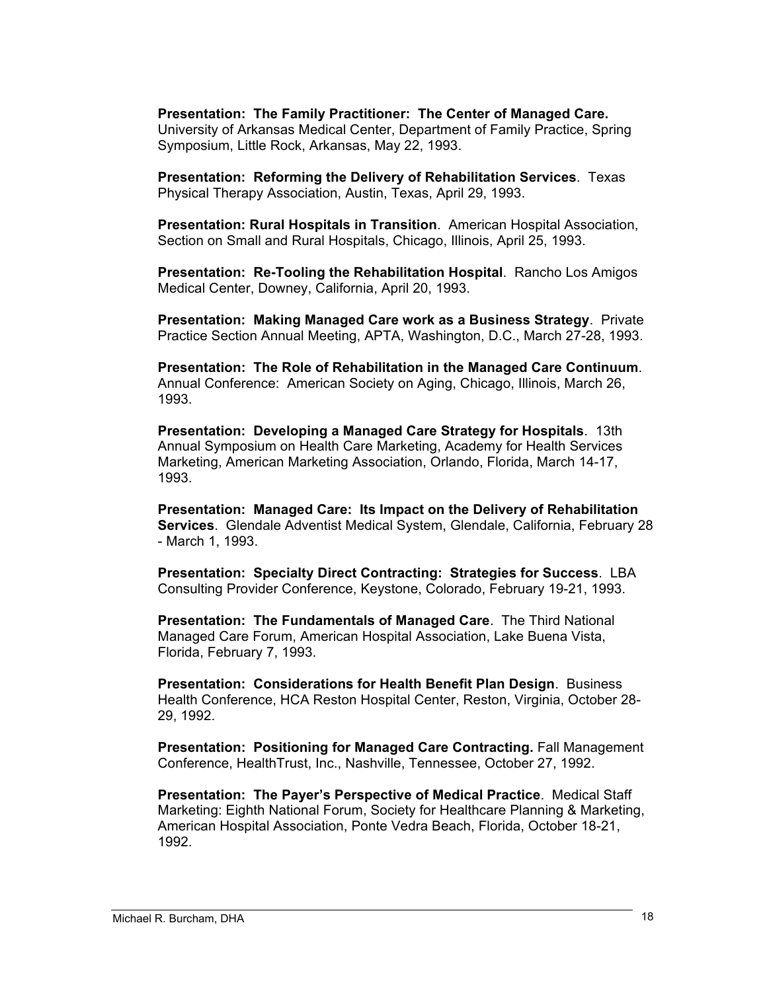**Presentation: The Family Practitioner: The Center of Managed Care.** University of Arkansas Medical Center, Department of Family Practice, Spring Symposium, Little Rock, Arkansas, May 22, 1993.

**Presentation: Reforming the Delivery of Rehabilitation Services**. Texas Physical Therapy Association, Austin, Texas, April 29, 1993.

**Presentation: Rural Hospitals in Transition**. American Hospital Association, Section on Small and Rural Hospitals, Chicago, Illinois, April 25, 1993.

**Presentation: Re-Tooling the Rehabilitation Hospital**. Rancho Los Amigos Medical Center, Downey, California, April 20, 1993.

**Presentation: Making Managed Care work as a Business Strategy**. Private Practice Section Annual Meeting, APTA, Washington, D.C., March 27-28, 1993.

**Presentation: The Role of Rehabilitation in the Managed Care Continuum**. Annual Conference: American Society on Aging, Chicago, Illinois, March 26, 1993.

**Presentation: Developing a Managed Care Strategy for Hospitals**. 13th Annual Symposium on Health Care Marketing, Academy for Health Services Marketing, American Marketing Association, Orlando, Florida, March 14-17, 1993.

**Presentation: Managed Care: Its Impact on the Delivery of Rehabilitation Services**. Glendale Adventist Medical System, Glendale, California, February 28 - March 1, 1993.

**Presentation: Specialty Direct Contracting: Strategies for Success**. LBA Consulting Provider Conference, Keystone, Colorado, February 19-21, 1993.

**Presentation: The Fundamentals of Managed Care**. The Third National Managed Care Forum, American Hospital Association, Lake Buena Vista, Florida, February 7, 1993.

**Presentation: Considerations for Health Benefit Plan Design**. Business Health Conference, HCA Reston Hospital Center, Reston, Virginia, October 28- 29, 1992.

**Presentation: Positioning for Managed Care Contracting.** Fall Management Conference, HealthTrust, Inc., Nashville, Tennessee, October 27, 1992.

**Presentation: The Payer's Perspective of Medical Practice**. Medical Staff Marketing: Eighth National Forum, Society for Healthcare Planning & Marketing, American Hospital Association, Ponte Vedra Beach, Florida, October 18-21, 1992.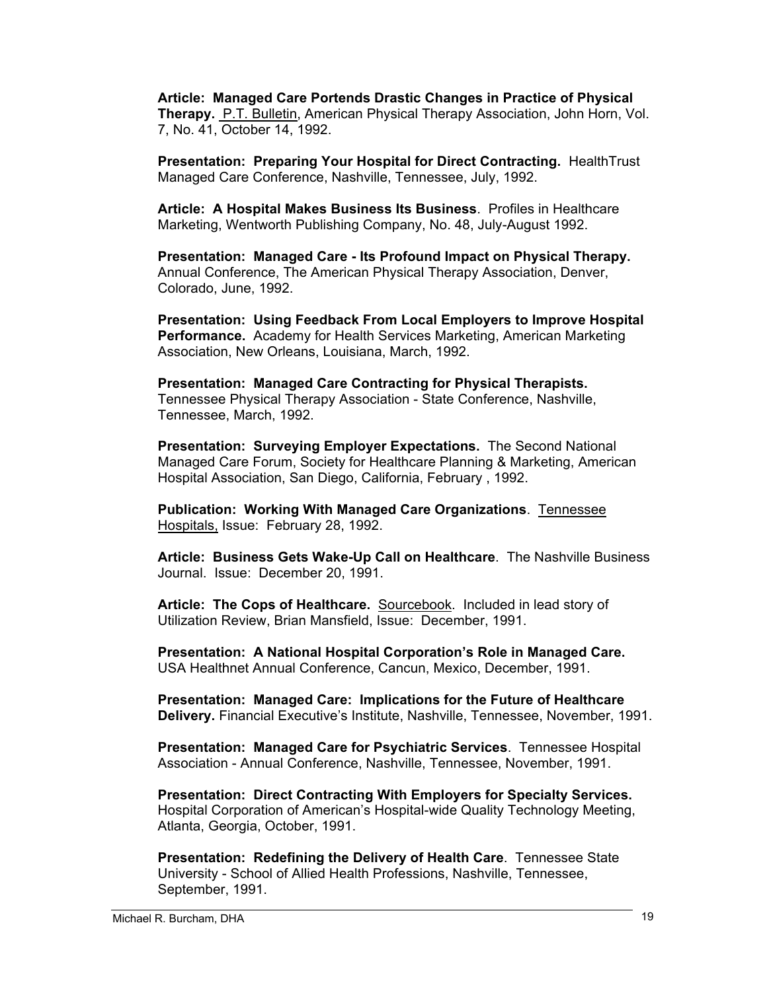**Article: Managed Care Portends Drastic Changes in Practice of Physical Therapy.** P.T. Bulletin, American Physical Therapy Association, John Horn, Vol. 7, No. 41, October 14, 1992.

**Presentation: Preparing Your Hospital for Direct Contracting.** HealthTrust Managed Care Conference, Nashville, Tennessee, July, 1992.

**Article: A Hospital Makes Business Its Business**. Profiles in Healthcare Marketing, Wentworth Publishing Company, No. 48, July-August 1992.

**Presentation: Managed Care - Its Profound Impact on Physical Therapy.** Annual Conference, The American Physical Therapy Association, Denver, Colorado, June, 1992.

**Presentation: Using Feedback From Local Employers to Improve Hospital Performance.** Academy for Health Services Marketing, American Marketing Association, New Orleans, Louisiana, March, 1992.

**Presentation: Managed Care Contracting for Physical Therapists.** Tennessee Physical Therapy Association - State Conference, Nashville, Tennessee, March, 1992.

**Presentation: Surveying Employer Expectations.** The Second National Managed Care Forum, Society for Healthcare Planning & Marketing, American Hospital Association, San Diego, California, February , 1992.

**Publication: Working With Managed Care Organizations**. Tennessee Hospitals, Issue: February 28, 1992.

**Article: Business Gets Wake-Up Call on Healthcare**. The Nashville Business Journal. Issue: December 20, 1991.

**Article: The Cops of Healthcare.** Sourcebook. Included in lead story of Utilization Review, Brian Mansfield, Issue: December, 1991.

**Presentation: A National Hospital Corporation's Role in Managed Care.** USA Healthnet Annual Conference, Cancun, Mexico, December, 1991.

**Presentation: Managed Care: Implications for the Future of Healthcare Delivery.** Financial Executive's Institute, Nashville, Tennessee, November, 1991.

**Presentation: Managed Care for Psychiatric Services**. Tennessee Hospital Association - Annual Conference, Nashville, Tennessee, November, 1991.

**Presentation: Direct Contracting With Employers for Specialty Services.** Hospital Corporation of American's Hospital-wide Quality Technology Meeting, Atlanta, Georgia, October, 1991.

**Presentation: Redefining the Delivery of Health Care**. Tennessee State University - School of Allied Health Professions, Nashville, Tennessee, September, 1991.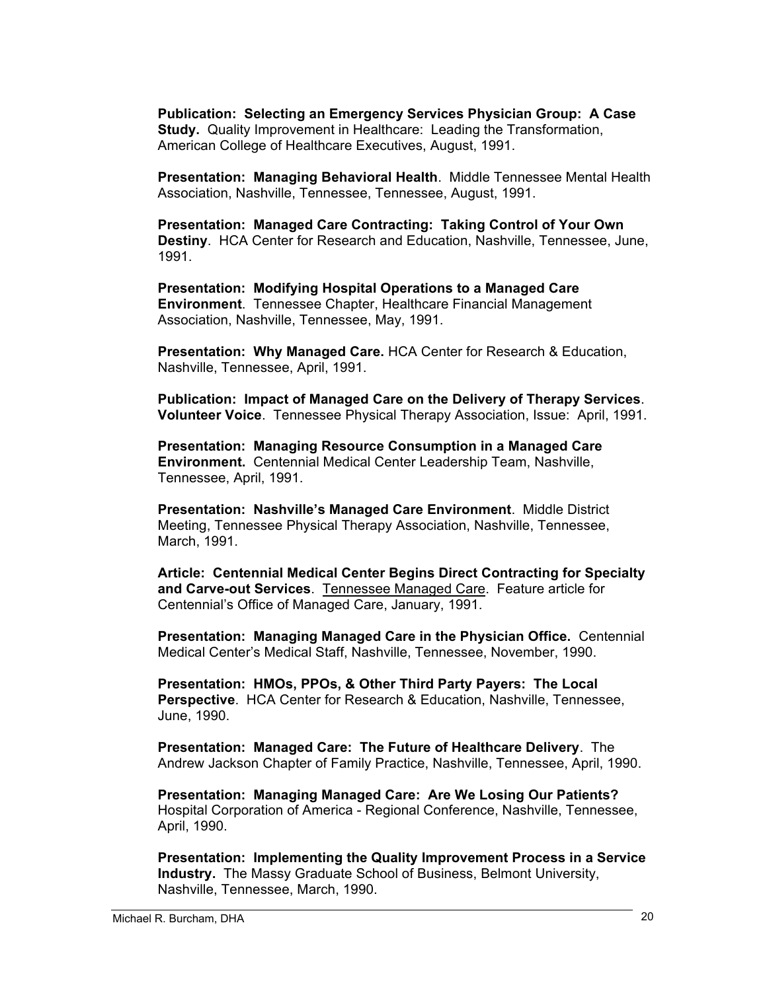**Publication: Selecting an Emergency Services Physician Group: A Case Study.** Quality Improvement in Healthcare: Leading the Transformation, American College of Healthcare Executives, August, 1991.

**Presentation: Managing Behavioral Health**. Middle Tennessee Mental Health Association, Nashville, Tennessee, Tennessee, August, 1991.

**Presentation: Managed Care Contracting: Taking Control of Your Own Destiny**. HCA Center for Research and Education, Nashville, Tennessee, June, 1991.

**Presentation: Modifying Hospital Operations to a Managed Care Environment**. Tennessee Chapter, Healthcare Financial Management Association, Nashville, Tennessee, May, 1991.

**Presentation: Why Managed Care.** HCA Center for Research & Education, Nashville, Tennessee, April, 1991.

**Publication: Impact of Managed Care on the Delivery of Therapy Services**. **Volunteer Voice**. Tennessee Physical Therapy Association, Issue: April, 1991.

**Presentation: Managing Resource Consumption in a Managed Care Environment.** Centennial Medical Center Leadership Team, Nashville, Tennessee, April, 1991.

**Presentation: Nashville's Managed Care Environment**. Middle District Meeting, Tennessee Physical Therapy Association, Nashville, Tennessee, March, 1991.

**Article: Centennial Medical Center Begins Direct Contracting for Specialty and Carve-out Services**. Tennessee Managed Care. Feature article for Centennial's Office of Managed Care, January, 1991.

**Presentation: Managing Managed Care in the Physician Office.** Centennial Medical Center's Medical Staff, Nashville, Tennessee, November, 1990.

**Presentation: HMOs, PPOs, & Other Third Party Payers: The Local Perspective**. HCA Center for Research & Education, Nashville, Tennessee, June, 1990.

**Presentation: Managed Care: The Future of Healthcare Delivery**. The Andrew Jackson Chapter of Family Practice, Nashville, Tennessee, April, 1990.

**Presentation: Managing Managed Care: Are We Losing Our Patients?** Hospital Corporation of America - Regional Conference, Nashville, Tennessee, April, 1990.

**Presentation: Implementing the Quality Improvement Process in a Service Industry.** The Massy Graduate School of Business, Belmont University, Nashville, Tennessee, March, 1990.